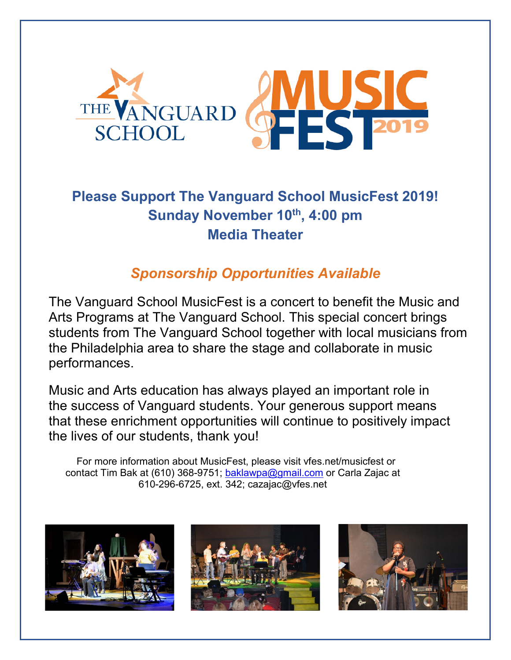

## **Please Support The Vanguard School MusicFest 2019! Sunday November 10th, 4:00 pm Media Theater**

## *Sponsorship Opportunities Available*

The Vanguard School MusicFest is a concert to benefit the Music and Arts Programs at The Vanguard School. This special concert brings students from The Vanguard School together with local musicians from the Philadelphia area to share the stage and collaborate in music performances.

Music and Arts education has always played an important role in the success of Vanguard students. Your generous support means that these enrichment opportunities will continue to positively impact the lives of our students, thank you!

For more information about MusicFest, please visit vfes.net/musicfest or contact Tim Bak at (610) 368-9751; [baklawpa@gmail.com](mailto:baklawpa@gmail.com) or Carla Zajac at 610-296-6725, ext. 342; cazajac@vfes.net